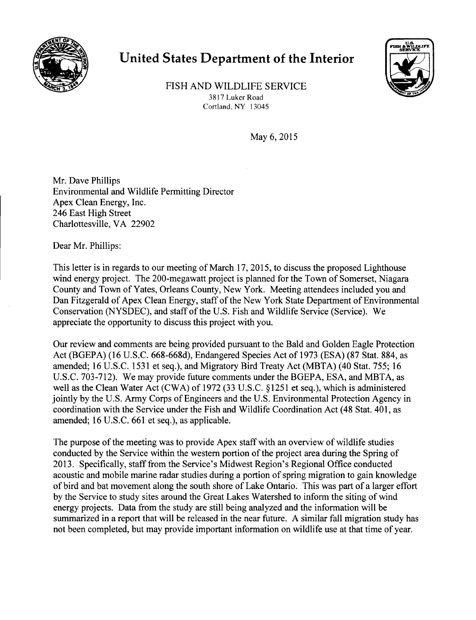

## **United States Department of the Interior**



FISH AND WILDLIFE SERVICE 3817 Luker Road Cortland, NY 13045

May 6, 2015

Mr. Dave Phillips Environmental and Wildlife Permitting Director Apex Clean Energy, Inc. 246 East High Street Charlottesville, VA 22902

Dear Mr. Phillips:

This letter is in regards to our meeting of March 17,2015, to discuss the proposed Lighthouse wind energy project. The 200-megawatt project is planned for the Town of Somerset, Niagara County and Town of Yates, Orleans County, New York. Meeting attendees included you and Dan Fitzgerald of Apex Clean Energy, staff of the New York State Department of Environmental Conservation (NYSDEC), and staff of the U.S. Fish and Wildlife Service (Service). We appreciate the opportunity to discuss this project with you.

Our review and comments are being provided pursuant to the Bald and Golden Eagle Protection Act (BGEPA) (16 U.S.C. 668-668d), Endangered Species Act of 1973 (ESA) (87 Stat. 884, as amended; 16U.S.C. 1531 et seq.), and Migratory Bird Treaty Act (MBTA) (40 Stat. 755; 16 U.S.C.703-712). We may provide future comments under the BGEPA, ESA, and MBTA, as well as the Clean Water Act (CWA) of 1972 (33 U.S.C. §1251 et seq.), which is administered jointly by the U.S. Army Corps of Engineers and the U.S. Environmental Protection Agency in coordination with the Service under the Fish and Wildlife Coordination Act (48 Stat. 401, as amended; 16U.S.C. 661 et seq.), as applicable.

The purpose of the meeting was to provide Apex staff with an overview of wildlife studies conducted by the Service within the western portion of the project area during the Spring of 2013. Specifically, staff from the Service's Midwest Region's Regional Office conducted acoustic and mobile marine radar studies during a portion of spring migration to gain knowledge of bird and bat movement along the south shore of Lake Ontario. This was part of a larger effort by the Service to study sites around the Great Lakes Watershed to inform the siting of wind energy projects. Data from the study are still being analyzed and the information will be summarized in a report that will be released in the near future. A similar fall migration study has not been completed, but may provide important information on wildlife use at that time of year.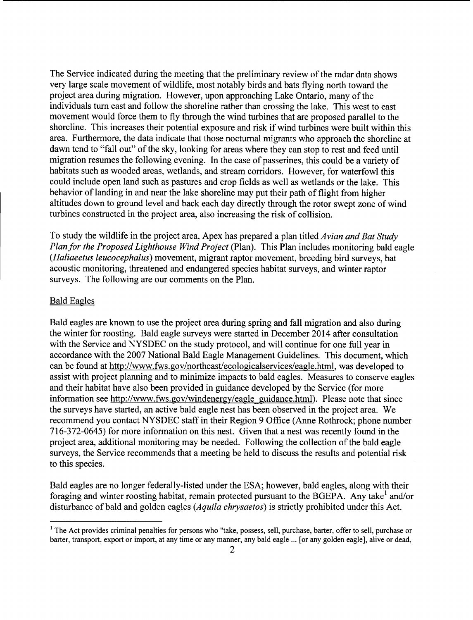The Service indicated during the meeting that the preliminary review of the radar data shows very large scale movement of wildlife, most notably birds and bats flying north toward the project area during migration. However, upon approaching Lake Ontario, many of the individuals tum east and follow the shoreline rather than crossing the lake. This west to east movement would force them to fly through the wind turbines that are proposed parallel to the shoreline. This increases their potential exposure and risk if wind turbines were built within this area. Furthermore, the data indicate that those nocturnal migrants who approach the shoreline at dawn tend to "fall out" of the sky, looking for areas where they can stop to rest and feed until migration resumes the following evening. In the case of passerines, this could be a variety of habitats such as wooded areas, wetlands, and stream corridors. However, for waterfowl this could include open land such as pastures and crop fields as well as wetlands or the lake. This behavior of landing in and near the lake shoreline may put their path of flight from higher altitudes down to ground level and back each day directly through the rotor swept zone of wind turbines constructed in the project area, also increasing the risk of collision.

To study the wildlife in the project area, Apex has prepared a plan titled *Avian and Bat Study Plan for the Proposed Lighthouse Wind Project* (Plan). This Plan includes monitoring bald eagle *(Haliaeetus leucocephalus)* movement, migrant raptor movement, breeding bird surveys, bat acoustic monitoring, threatened and endangered species habitat surveys, and winter raptor surveys. The following are our comments on the Plan.

## Bald Eagles

Bald eagles are known to use the project area during spring and fall migration and also during the winter for roosting. Bald eagle surveys were started in December 2014 after consultation with the Service and NYSDEC on the study protocol, and will continue for one full year in accordance with the 2007 National Bald Eagle Management Guidelines. This document, which can be found at http://www.fws.gov/northeast/ecologicalservices/eagle.html, was developed to assist with project planning and to minimize impacts to bald eagles. Measures to conserve eagles and their habitat have also been provided in guidance developed by the Service (for more information see http://www.fws.gov/windenergy/eagle guidance.html). Please note that since the surveys have started, an active bald eagle nest has been observed in the project area. We recommend you contact NYSDEC staff in their Region 9 Office (Anne Rothrock; phone number 716-372-0645) for more information on this nest. Given that a nest was recently found in the project area, additional monitoring may be needed. Following the collection of the bald eagle surveys, the Service recommends that a meeting be held to discuss the results and potential risk to this species.

Bald eagles are no longer federally-listed under the ESA; however, bald eagles, along with their foraging and winter roosting habitat, remain protected pursuant to the BGEPA. Any take' and/or disturbance of bald and golden eagles *(Aquila chrysaetos)* is strictly prohibited under this Act.

<sup>&</sup>lt;sup>1</sup> The Act provides criminal penalties for persons who "take, possess, sell, purchase, barter, offer to sell, purchase or barter, transport, export or import, at any time or any manner, any bald eagle ... [or any golden eagle], alive or dead,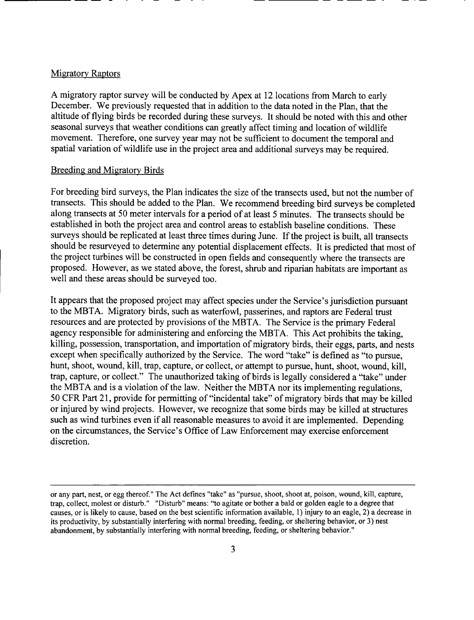## Migratory Raptors

A migratory raptor survey will be conducted by Apex at 12 locations from March to early December. We previously requested that in addition to the data noted in the Plan, that the altitude of flying birds be recorded during these surveys. It should be noted with this and other seasonal surveys that weather conditions can greatly affect timing and location of wildlife movement. Therefore, one survey year may not be sufficient to document the temporal and spatial variation of wildlife use in the project area and additional surveys may be required.

------- -- - - ------ ----

## Breeding and Migratory Birds

For breeding bird surveys, the Plan indicates the size of the transects used, but not the number of transects. This should be added to the Plan. We recommend breeding bird surveys be completed along transects at 50 meter intervals for a period of at least 5 minutes. The transects should be established in both the project area and control areas to establish baseline conditions. These surveys should be replicated at least three times during June. If the project is built, all transects should be resurveyed to determine any potential displacement effects. It is predicted that most of the project turbines will be constructed in open fields and consequently where the transects are proposed. However, as we stated above, the forest, shrub and riparian habitats are important as well and these areas should be surveyed too.

It appears that the proposed project may affect species under the Service's jurisdiction pursuant to the MBTA. Migratory birds, such as waterfowl, passerines, and raptors are Federal trust resources and are protected by provisions of the MBTA. The Service is the primary Federal agency responsible for administering and enforcing the MBTA. This Act prohibits the taking, killing, possession, transportation, and importation of migratory birds, their eggs, parts, and nests except when specifically authorized by the Service. The word "take" is defined as "to pursue, hunt, shoot, wound, kill, trap, capture, or collect, or attempt to pursue, hunt, shoot, wound, kill, trap, capture, or collect." The unauthorized taking of birds is legally considered a "take" under the MBTA and is a violation of the law. Neither the MBTA nor its implementing regulations, 50 CFR Part 21, provide for permitting of "incidental take" of migratory birds that may be killed or injured by wind projects. However, we recognize that some birds may be killed at structures such as wind turbines even if all reasonable measures to avoid it are implemented. Depending on the circumstances, the Service's Office of Law Enforcement may exercise enforcement discretion.

or any part, nest, or egg thereof." The Act defines "take" as "pursue, shoot, shoot at, poison, wound, kill, capture, trap, collect, molest or disturb." "Disturb" means: "to agitate or bother a bald or golden eagle to a degree that causes, or is likely to cause, based on the best scientific information available, 1) injury to an eagle, 2) a decrease in its productivity, by substantially interfering with normal breeding, feeding, or sheltering behavior, or 3) nest abandonment, by substantially interfering with normal breeding, feeding, or sheltering behavior."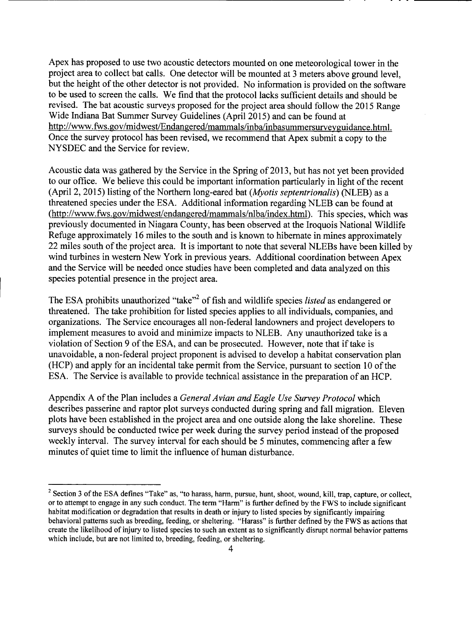Apex has proposed to use two acoustic detectors mounted on one meteorological tower in the project area to collect bat calls. One detector will be mounted at 3 meters above ground level, but the height of the other detector is not provided. No information is provided on the software to be used to screen the calls. We find that the protocol lacks sufficient details and should be revised. The bat acoustic surveys proposed for the project area should follow the 2015 Range Wide Indiana Bat Summer Survey Guidelines (April 2015) and can be found at http://www.fws.gov/midwest/Endangered/mammals/inba/inbasummersurveyguidance.html. Once the survey protocol has been revised, we recommend that Apex submit a copy to the NYSDEC and the Service for review.

Acoustic data was gathered by the Service in the Spring of 2013, but has not yet been provided to our office. We believe this could be important information particularly in light of the recent (April 2, 2015) listing of the Northern long-eared bat *(Myotis septentrionalis)* (NLEB) as a threatened species under the ESA. Additional information regarding NLEB can be found at (http://www.fws.gov/midwest/endangered/mammals/nlba/index.html). This species, which was previously documented in Niagara County, has been observed at the Iroquois National Wildlife Refuge approximately 16 miles to the south and is known to hibernate in mines approximately 22 miles south of the project area. It is important to note that several NLEBs have been killed by wind turbines in western New York in previous years. Additional coordination between Apex and the Service will be needed once studies have been completed and data analyzed on this species potential presence in the project area.

The ESA prohibits unauthorized "take"<sup>2</sup> of fish and wildlife species *listed* as endangered or threatened. The take prohibition for listed species applies to all individuals, companies, and organizations. The Service encourages all non-federal landowners and project developersto implement measures to avoid and minimize impacts to NLEB. Any unauthorized take is a violation of Section 9 of the ESA, and can be prosecuted. However, note that if take is unavoidable, a non-federal project proponent is advised to develop a habitat conservation plan (HCP) and apply for an incidental take permit from the Service, pursuant to section 10 of the ESA. The Service is available to provide technical assistance in the preparation of an HCP.

Appendix A of the Plan includes a *GeneralAvian and Eagle Use Survey Protocol* which describes passerine and raptor plot surveys conducted during spring and fall migration. Eleven plots have been established in the project area and one outside along the lake shoreline. These surveys should be conducted twice per week during the survey period instead of the proposed weekly interval. The survey interval for each should be 5 minutes, commencing after a few minutes of quiet time to limit the influence of human disturbance.

 $2$  Section 3 of the ESA defines "Take" as, "to harass, harm, pursue, hunt, shoot, wound, kill, trap, capture, or collect, or to attempt to engage in any such conduct. The term "Harm" is further defined by the FWS to include significant habitat modification or degradation that results in death or injury to listed species by significantly impairing behavioral patterns such as breeding, feeding, or sheltering. "Harass" is further defined by the FWS as actions that create the likelihood of injury to listed speciesto such an extent as to significantly disrupt normal behavior patterns which include, but are not limited to, breeding, feeding, or sheltering.